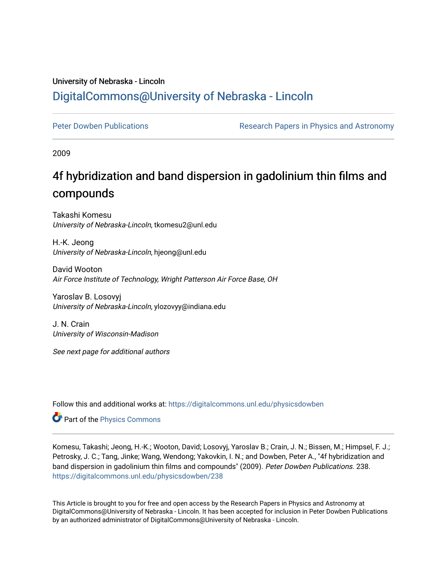## University of Nebraska - Lincoln [DigitalCommons@University of Nebraska - Lincoln](https://digitalcommons.unl.edu/)

[Peter Dowben Publications](https://digitalcommons.unl.edu/physicsdowben) **Research Papers in Physics and Astronomy** 

2009

# 4f hybridization and band dispersion in gadolinium thin films and compounds

Takashi Komesu University of Nebraska-Lincoln, tkomesu2@unl.edu

H.-K. Jeong University of Nebraska-Lincoln, hjeong@unl.edu

David Wooton Air Force Institute of Technology, Wright Patterson Air Force Base, OH

Yaroslav B. Losovyj University of Nebraska-Lincoln, ylozovyy@indiana.edu

J. N. Crain University of Wisconsin-Madison

See next page for additional authors

Follow this and additional works at: [https://digitalcommons.unl.edu/physicsdowben](https://digitalcommons.unl.edu/physicsdowben?utm_source=digitalcommons.unl.edu%2Fphysicsdowben%2F238&utm_medium=PDF&utm_campaign=PDFCoverPages) 

Part of the [Physics Commons](http://network.bepress.com/hgg/discipline/193?utm_source=digitalcommons.unl.edu%2Fphysicsdowben%2F238&utm_medium=PDF&utm_campaign=PDFCoverPages)

Komesu, Takashi; Jeong, H.-K.; Wooton, David; Losovyj, Yaroslav B.; Crain, J. N.; Bissen, M.; Himpsel, F. J.; Petrosky, J. C.; Tang, Jinke; Wang, Wendong; Yakovkin, I. N.; and Dowben, Peter A., "4f hybridization and band dispersion in gadolinium thin films and compounds" (2009). Peter Dowben Publications. 238. [https://digitalcommons.unl.edu/physicsdowben/238](https://digitalcommons.unl.edu/physicsdowben/238?utm_source=digitalcommons.unl.edu%2Fphysicsdowben%2F238&utm_medium=PDF&utm_campaign=PDFCoverPages) 

This Article is brought to you for free and open access by the Research Papers in Physics and Astronomy at DigitalCommons@University of Nebraska - Lincoln. It has been accepted for inclusion in Peter Dowben Publications by an authorized administrator of DigitalCommons@University of Nebraska - Lincoln.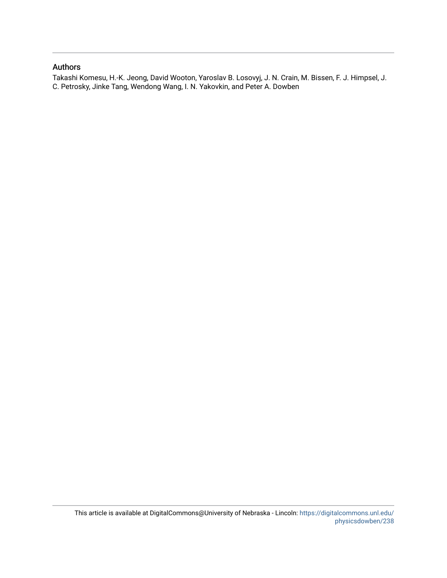### Authors

Takashi Komesu, H.-K. Jeong, David Wooton, Yaroslav B. Losovyj, J. N. Crain, M. Bissen, F. J. Himpsel, J. C. Petrosky, Jinke Tang, Wendong Wang, I. N. Yakovkin, and Peter A. Dowben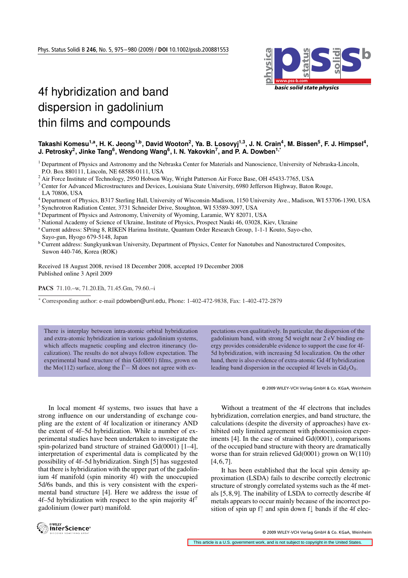

## 4f hybridization and band dispersion in gadolinium thin films and compounds

#### Takashi Komesu<sup>1,a</sup>, H. K. Jeong<sup>1,b</sup>, David Wooton<sup>2</sup>, Ya. B. Losovyj<sup>1,3</sup>, J. N. Crain<sup>4</sup>, M. Bissen<sup>5</sup>, F. J. Himpsel<sup>4</sup>, **J. Petrosky<sup>2</sup>, Jinke Tang<sup>6</sup>, Wendong Wang<sup>6</sup>, I. N. Yakovkin<sup>7</sup>, and P. A. Dowben<sup>1,\*</sup>**

<sup>1</sup> Department of Physics and Astronomy and the Nebraska Center for Materials and Nanoscience, University of Nebraska-Lincoln, P.O. Box 880111, Lincoln, NE 68588-0111, USA

<sup>2</sup> Air Force Institute of Technology, 2950 Hobson Way, Wright Patterson Air Force Base, OH 45433-7765, USA

<sup>3</sup> Center for Advanced Microstructures and Devices, Louisiana State University, 6980 Jefferson Highway, Baton Rouge, LA 70806, USA

- <sup>4</sup> Department of Physics, B317 Sterling Hall, University of Wisconsin-Madison, 1150 University Ave., Madison, WI 53706-1390, USA
- <sup>5</sup> Synchrotron Radiation Center, 3731 Schneider Drive, Stoughton, WI 53589-3097, USA
- <sup>6</sup> Department of Physics and Astronomy, University of Wyoming, Laramie, WY 82071, USA
- <sup>7</sup> National Academy of Science of Ukraine, Institute of Physics, Prospect Nauki 46, 03028, Kiev, Ukraine
- <sup>a</sup> Current address: SPring 8, RIKEN Harima Institute, Quantum Order Research Group, 1-1-1 Kouto, Sayo-cho, Sayo-gun, Hyogo 679-5148, Japan
- **b Current address: Sungkyunkwan University, Department of Physics, Center for Nanotubes and Nanostructured Composites,** Suwon 440-746, Korea (ROK)

Received 18 August 2008, revised 18 December 2008, accepted 19 December 2008 Published online 3 April 2009

PACS 71.10.–w, 71.20.Eh, 71.45.Gm, 79.60.–i

<sup>∗</sup> Corresponding author: e-mail pdowben@unl.edu, Phone: 1-402-472-9838, Fax: 1-402-472-2879

There is interplay between intra-atomic orbital hybridization and extra-atomic hybridization in various gadolinium systems, which affects magnetic coupling and electron itinerancy (localization). The results do not always follow expectation. The experimental band structure of thin Gd(0001) films, grown on the Mo(112) surface, along the  $\overline{\Gamma}$  –  $\overline{M}$  does not agree with expectations even qualitatively. In particular, the dispersion of the gadolinium band, with strong 5d weight near 2 eV binding energy provides considerable evidence to support the case for 4f-5d hybridization, with increasing 5d localization. On the other hand, there is also evidence of extra-atomic Gd 4f hybridization leading band dispersion in the occupied 4f levels in  $Gd_2O_3$ .

© 2009 WILEY-VCH Verlag GmbH & Co. KGaA, Weinheim

In local moment 4f systems, two issues that have a strong influence on our understanding of exchange coupling are the extent of 4f localization or itinerancy AND the extent of 4f–5d hybridization. While a number of experimental studies have been undertaken to investigate the spin-polarized band structure of strained Gd(0001) [1–4], interpretation of experimental data is complicated by the possibility of 4f–5d hybridization. Singh [5] has suggested that there is hybridization with the upper part of the gadolinium 4f manifold (spin minority 4f) with the unoccupied 5d/6s bands, and this is very consistent with the experimental band structure [4]. Here we address the issue of 4f–5d hybridization with respect to the spin majority  $4f<sup>7</sup>$ gadolinium (lower part) manifold.

Without a treatment of the 4f electrons that includes hybridization, correlation energies, and band structure, the calculations (despite the diversity of approaches) have exhibited only limited agreement with photoemission experiments [4]. In the case of strained Gd(0001), comparisons of the occupied band structure with theory are dramatically worse than for strain relieved Gd(0001) grown on W(110)  $[4, 6, 7]$ .

It has been established that the local spin density approximation (LSDA) fails to describe correctly electronic structure of strongly correlated systems such as the 4f metals [5, 8, 9]. The inability of LSDA to correctly describe 4f metals appears to occur mainly because of the incorrect position of spin up f↑ and spin down f↓ bands if the 4f elec-



© 2009 WILEY-VCH Verlag GmbH & Co. KGaA, Weinheim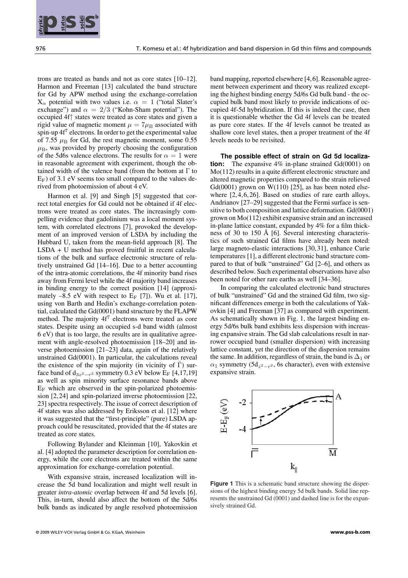

<sup>976</sup> T. Komesu et al.: 4f hybridization and band dispersion in Gd thin films and compounds **physica pss status solidi**

trons are treated as bands and not as core states [10–12]. Harmon and Freeman [13] calculated the band structure for Gd by APW method using the exchange-correlation  $X_{\alpha}$  potential with two values i.e.  $\alpha = 1$  ("total Slater's exchange") and  $\alpha = 2/3$  ("Kohn-Sham potential"). The occupied 4f↑ states were treated as core states and given a rigid value of magnetic moment  $\mu = 7\mu_B$  associated with spin-up  $4f^7$  electrons. In order to get the experimental value of 7.55  $\mu$ <sub>B</sub> for Gd, the rest magnetic moment, some 0.55  $\mu_{\rm B}$ , was provided by properly choosing the configuration of the 5d6s valence electrons. The results for  $\alpha = 1$  were in reasonable agreement with experiment, though the obtained width of the valence band (from the bottom at  $\Gamma$  to  $E_F$ ) of 3.1 eV seems too small compared to the values derived from photoemission of about 4 eV.

Harmon et al. [9] and Singh [5] suggested that correct total energies for Gd could not be obtained if 4f electrons were treated as core states. The increasingly compelling evidence that gadolinium was a local moment system, with correlated electrons [7], provoked the development of an improved version of LSDA by including the Hubbard U, taken from the mean-field approach [8]. The LSDA + U method has proved fruitful in recent calculations of the bulk and surface electronic structure of relatively unstrained Gd [14–16]. Due to a better accounting of the intra-atomic correlations, the 4f minority band rises away from Fermi level while the 4f majority band increases in binding energy to the correct position [14] (approximately  $-8.5$  eV with respect to  $E_F$  [7]). Wu et al. [17], using von Barth and Hedin's exchange-correlation potential, calculated the Gd(0001) band structure by the FLAPW method. The majority 4f<sup>7</sup> electrons were treated as core states. Despite using an occupied s-d band width (almost 6 eV) that is too large, the results are in qualitative agreement with angle-resolved photoemission [18–20] and inverse photoemission [21–23] data, again of the relatively unstrained Gd(0001). In particular, the calculations reveal the existence of the spin majority (in vicinity of  $\Gamma$ ) surface band of  $d_{3z^2-r^2}$  symmetry 0.3 eV below E<sub>F</sub> [4,17,19] as well as spin minority surface resonance bands above  $E_F$  which are observed in the spin-polarized photoemission [2, 24] and spin-polarized inverse photoemission [22, 23] spectra respectively. The issue of correct description of 4f states was also addressed by Eriksson et al. [12] where it was suggested that the "first-principle" (pure) LSDA approach could be resuscitated, provided that the 4f states are treated as core states.

Following Bylander and Kleinman [10], Yakovkin et al. [4] adopted the parameter description for correlation energy, while the core electrons are treated within the same approximation for exchange-correlation potential.

With expansive strain, increased localization will increase the 5d band localization and might well result in greater *intra-atomic* overlap between 4f and 5d levels [6]. This, in-turn, should also affect the bottom of the 5d/6s bulk bands as indicated by angle resolved photoemission

band mapping, reported elsewhere [4, 6]. Reasonable agreement between experiment and theory was realized excepting the highest binding energy 5d/6s Gd bulk band - the occupied bulk band most likely to provide indications of occupied 4f-5d hybridization. If this is indeed the case, then it is questionable whether the Gd 4f levels can be treated as pure core states. If the 4f levels cannot be treated as shallow core level states, then a proper treatment of the 4f levels needs to be revisited.

**The possible effect of strain on Gd 5d localization:** The expansive 4% in-plane strained Gd(0001) on Mo(112) results in a quite different electronic structure and altered magnetic properties compared to the strain relieved Gd(0001) grown on  $W(110)$  [25], as has been noted elsewhere [2, 4, 6, 26]. Based on studies of rare earth alloys, Andrianov [27–29] suggested that the Fermi surface is sensitive to both composition and lattice deformation. Gd(0001) grown on Mo(112) exhibit expansive strain and an increased in-plane lattice constant, expanded by 4% for a film thickness of 30 to 150 Å [6]. Several interesting characteristics of such strained Gd films have already been noted: large magneto-elastic interactions [30, 31], enhance Curie temperatures [1], a different electronic band structure compared to that of bulk "unstrained" Gd [2–6], and others as described below. Such experimental observations have also been noted for other rare earths as well [34–36].

In comparing the calculated electronic band structures of bulk "unstrained" Gd and the strained Gd film, two significant differences emerge in both the calculations of Yakovkin [4] and Freeman [37] as compared with experiment. As schematically shown in Fig. 1, the largest binding energy 5d/6s bulk band exhibits less dispersion with increasing expansive strain. The Gd slab calculations result in narrower occupied band (smaller dispersion) with increasing lattice constant, yet the direction of the dispersion remains the same. In addition, regardless of strain, the band is  $\Delta_1$  or  $\alpha_1$  symmetry (5d<sub>z2−r</sub>2, 6s character), even with extensive expansive strain.



**Figure 1** This is a schematic band structure showing the dispersions of the highest binding energy 5d bulk bands. Solid line represents the unstrained Gd (0001) and dashed line is for the expansively strained Gd.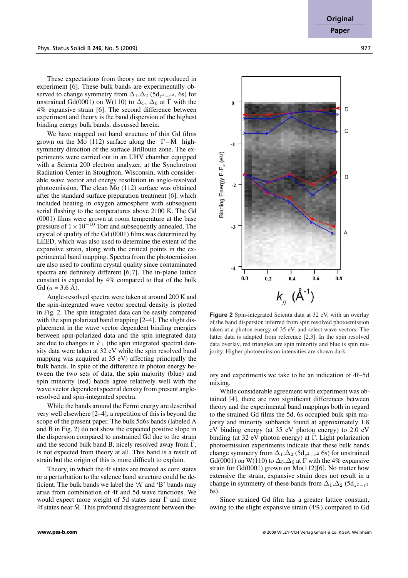These expectations from theory are not reproduced in experiment [6]. These bulk bands are experimentally observed to change symmetry from  $\Delta_1$ ,  $\Delta_2$  (5d<sub>z<sup>2</sup>-r<sup>2</sup></sub>, 6s) for unstrained Gd(0001) on W(110) to  $\Delta_5$ ,  $\Delta_6$  at  $\overline{\Gamma}$  with the 4% expansive strain [6]. The second difference between experiment and theory is the band dispersion of the highest binding energy bulk bands, discussed herein.

We have mapped out band structure of thin Gd films grown on the Mo (112) surface along the  $\bar{\Gamma} - \bar{M}$  highsymmetry direction of the surface Brillouin zone. The experiments were carried out in an UHV chamber equipped with a Scienta 200 electron analyzer, at the Synchrotron Radiation Center in Stoughton, Wisconsin, with considerable wave vector and energy resolution in angle-resolved photoemission. The clean Mo (112) surface was obtained after the standard surface preparation treatment [6], which included heating in oxygen atmosphere with subsequent serial flashing to the temperatures above 2100 K. The Gd (0001) films were grown at room temperature at the base pressure of  $1 \times 10^{-10}$  Torr and subsequently annealed. The crystal of quality of the Gd (0001) films was determined by LEED, which was also used to determine the extent of the expansive strain, along with the critical points in the experimental band mapping. Spectra from the photoemission are also used to confirm crystal quality since contaminated spectra are definitely different [6,7]. The in-plane lattice constant is expanded by 4% compared to that of the bulk Gd ( $a = 3.6$  Å).

Angle-resolved spectra were taken at around 200 K and the spin-integrated wave vector spectral density is plotted in Fig. 2. The spin integrated data can be easily compared with the spin polarized band mapping [2–4]. The slight displacement in the wave vector dependent binding energies between spin-polarized data and the spin integrated data are due to changes in  $k_+$  (the spin integrated spectral density data were taken at 32 eV while the spin resolved band mapping was acquired at 35 eV) affecting principally the bulk bands. In spite of the difference in photon energy between the two sets of data, the spin majority (blue) and spin minority (red) bands agree relatively well with the wave vector dependent spectral density from present angleresolved and spin-integrated spectra.

While the bands around the Fermi energy are described very well elsewhere [2–4], a repetition of this is beyond the scope of the present paper. The bulk 5d6s bands (labeled A and B in Fig. 2) do not show the expected positive slope in the dispersion compared to unstrained Gd due to the strain and the second bulk band B, nicely resolved away from  $\Gamma$ , is not expected from theory at all. This band is a result of strain but the origin of this is more difficult to explain.

Theory, in which the 4f states are treated as core states or a perturbation to the valence band structure could be deficient. The bulk bands we label the 'A' and 'B' bands may arise from combination of 4f and 5d wave functions. We would expect more weight of 5d states near  $\bar{\Gamma}$  and more 4f states near  $\overline{M}$ . This profound disagreement between the-



**Figure 2** Spin-integrated Scienta data at 32 eV, with an overlay of the band dispersion inferred from spin resolved photoemission taken at a photon energy of 35 eV, and select wave vectors. The latter data is adapted from reference [2,3]. In the spin resolved data overlay, red triangles are spin minority and blue is spin majority. Higher photoemission intensities are shown dark.

ory and experiments we take to be an indication of 4f–5d mixing.

While considerable agreement with experiment was obtained [4], there are two significant differences between theory and the experimental band mappings both in regard to the strained Gd films the 5d, 6s occupied bulk spin majority and minority subbands found at approximately 1.8 eV binding energy (at 35 eV photon energy) to 2.0 eV binding (at 32 eV photon energy) at  $\overline{\Gamma}$ . Light polarization photoemission experiments indicate that these bulk bands change symmetry from  $\Delta_1, \Delta_2$  (5d<sub>z<sup>2</sup>-r<sup>2</sup></sub> 6s) for unstrained Gd(0001) on W(110) to  $\Delta_5$ ,  $\Delta_6$  at  $\overline{\Gamma}$  with the 4% expansive strain for  $Gd(0001)$  grown on  $Mo(112)[6]$ . No matter how extensive the strain, expansive strain does not result in a change in symmetry of these bands from  $\Delta_1, \Delta_2$  (5d<sub>z<sup>2</sup>-r<sup>2</sup></sub>) 6s).

Since strained Gd film has a greater lattice constant, owing to the slight expansive strain (4%) compared to Gd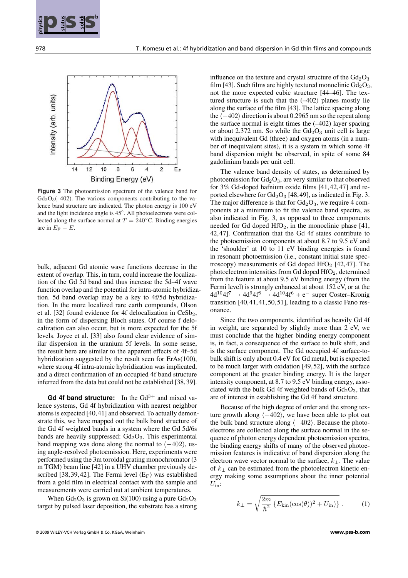



**Figure 3** The photoemission spectrum of the valence band for  $Gd_2O_3(-402)$ . The various components contributing to the valence band structure are indicated. The photon energy is 100 eV and the light incidence angle is 45°. All photoelectrons were collected along the surface normal at  $T = 240^{\circ}$ C. Binding energies are in  $E_F - E$ .

bulk, adjacent Gd atomic wave functions decrease in the extent of overlap. This, in turn, could increase the localization of the Gd 5d band and thus increase the 5d–4f wave function overlap and the potential for intra-atomic hybridization. 5d band overlap may be a key to 4f/5d hybridization. In the more localized rare earth compounds, Olson et al. [32] found evidence for 4f delocalization in  $CeSb<sub>2</sub>$ , in the form of dispersing Bloch states. Of course f delocalization can also occur, but is more expected for the 5f levels. Joyce et al. [33] also found clear evidence of similar dispersion in the uranium 5f levels. In some sense, the result here are similar to the apparent effects of 4f–5d hybridization suggested by the result seen for ErAs(100), where strong 4f intra-atomic hybridization was implicated, and a direct confirmation of an occupied 4f band structure inferred from the data but could not be established [38, 39].

Gd 4f band structure: In the  $Gd^{3+}$  and mixed valence systems, Gd 4f hybridization with nearest neighbor atoms is expected [40, 41] and observed. To actually demonstrate this, we have mapped out the bulk band structure of the Gd 4f weighted bands in a system where the Gd 5d/6s bands are heavily suppressed:  $Gd_2O_3$ . This experimental band mapping was done along the normal to  $(-402)$ , using angle-resolved photoemission. Here, experiments were performed using the 3m toroidal grating monochromator (3 m TGM) beam line [42] in a UHV chamber previously described [38, 39, 42]. The Fermi level  $(E_F)$  was established from a gold film in electrical contact with the sample and measurements were carried out at ambient temperatures.

When  $Gd_2O_3$  is grown on Si(100) using a pure  $Gd_2O_3$ target by pulsed laser deposition, the substrate has a strong influence on the texture and crystal structure of the  $Gd_2O_3$ film [43]. Such films are highly textured monoclinic  $Gd_2O_3$ , not the more expected cubic structure [44–46]. The textured structure is such that the (–402) planes mostly lie along the surface of the film [43]. The lattice spacing along the  $\langle -402 \rangle$  direction is about 0.2965 nm so the repeat along the surface normal is eight times the  $(-402)$  layer spacing or about 2.372 nm. So while the  $Gd<sub>2</sub>O<sub>3</sub>$  unit cell is large with inequivalent Gd (three) and oxygen atoms (in a number of inequivalent sites), it is a system in which some 4f band dispersion might be observed, in spite of some 84 gadolinium bands per unit cell.

The valence band density of states, as determined by photoemission for  $Gd_2O_3$ , are very similar to that observed for 3% Gd-doped hafnium oxide films [41, 42, 47] and reported elsewhere for  $Gd_2O_3$  [48,49], as indicated in Fig. 3. The major difference is that for  $Gd_2O_3$ , we require 4 components at a minimum to fit the valence band spectra, as also indicated in Fig. 3, as opposed to three components needed for Gd doped  $HfO<sub>2</sub>$ , in the monoclinic phase [41, 42,47]. Confirmation that the Gd 4f states contribute to the photoemission components at about 8.7 to 9.5 eV and the 'shoulder' at 10 to 11 eV binding energies is found in resonant photoemission (i.e., constant initial state spectroscopy) measurements of Gd doped  $HfO<sub>2</sub>$  [42,47]. The photoelectron intensities from Gd doped  $HfO<sub>2</sub>$ , determined from the feature at about 9.5 eV binding energy (from the Fermi level) is strongly enhanced at about 152 eV, or at the  $4d^{10}4f^7 \rightarrow 4d^{9}4f^8 \rightarrow 4d^{10}4f^6 + e^-$  super Coster–Kronig transition  $[40, 41, 41, 50, 51]$ , leading to a classic Fano resonance.

Since the two components, identified as heavily Gd 4f in weight, are separated by slightly more than 2 eV, we must conclude that the higher binding energy component is, in fact, a consequence of the surface to bulk shift, and is the surface component. The Gd occupied 4f surface-tobulk shift is only about 0.4 eV for Gd metal, but is expected to be much larger with oxidation [49, 52], with the surface component at the greater binding energy. It is the larger intensity component, at 8.7 to 9.5 eV binding energy, associated with the bulk Gd 4f weighted bands of  $Gd_2O_3$ , that are of interest in establishing the Gd 4f band structure.

Because of the high degree of order and the strong texture growth along  $\langle -402 \rangle$ , we have been able to plot out the bulk band structure along  $\langle -402 \rangle$ . Because the photoelectrons are collected along the surface normal in the sequence of photon energy dependent photoemission spectra, the binding energy shifts of many of the observed photoemission features is indicative of band dispersion along the electron wave vector normal to the surface,  $k_{\perp}$ . The value of  $k_{\perp}$  can be estimated from the photoelectron kinetic energy making some assumptions about the inner potential  $U_{\text{in}}$ :

$$
k_{\perp} = \sqrt{\frac{2m}{\hbar^2} \left\{ E_{\text{kin}}(\cos(\theta))^2 + U_{\text{in}} \right\}} \,. \tag{1}
$$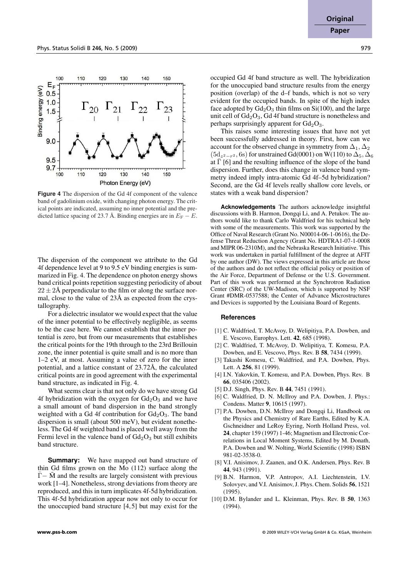E

 $0.5$  $1.0$ 

 $1.5$ 

9.0

9.5 9.7 100

Binding energy (eV)



Photon Energy (eV) **Figure 4** The dispersion of the Gd 4f component of the valence band of gadolinium oxide, with changing photon energy. The critical points are indicated, assuming no inner potential and the pre-

130

 $140$ 

150

120

110

dicted lattice spacing of 23.7 Å. Binding energies are in  $E_F - E$ .

The dispersion of the component we attribute to the Gd 4f dependence level at 9 to 9.5 eV binding energies is summarized in Fig. 4. The dependence on photon energy shows band critical points repetition suggesting periodicity of about  $22 \pm 2\text{\AA}$  perpendicular to the film or along the surface normal, close to the value of  $23\text{\AA}$  as expected from the crystallography.

For a dielectric insulator we would expect that the value of the inner potential to be effectively negligible, as seems to be the case here. We cannot establish that the inner potential is zero, but from our measurements that establishes the critical points for the 19th through to the 23rd Brillouin zone, the inner potential is quite small and is no more than 1–2 eV, at most. Assuming a value of zero for the inner potential, and a lattice constant of  $23.72\text{\AA}$ , the calculated critical points are in good agreement with the experimental band structure, as indicated in Fig. 4.

What seems clear is that not only do we have strong Gd 4f hybridization with the oxygen for  $Gd_2O_3$  and we have a small amount of band dispersion in the band strongly weighted with a Gd 4f contribution for  $Gd_2O_3$ . The band dispersion is small (about 500 meV), but evident nonetheless. The Gd 4f weighted band is placed well away from the Fermi level in the valence band of  $Gd_2O_3$  but still exhibits band structure.

**Summary:** We have mapped out band structure of thin Gd films grown on the Mo (112) surface along the  $\overline{\Gamma}$  –  $\overline{\rm M}$  and the results are largely consistent with previous work [1–4]. Nonetheless, strong deviations from theory are reproduced, and this in turn implicates 4f-5d hybridization. This 4f-5d hybridization appear now not only to occur for the unoccupied band structure  $[4, 5]$  but may exist for the

occupied Gd 4f band structure as well. The hybridization for the unoccupied band structure results from the energy position (overlap) of the d–f bands, which is not so very evident for the occupied bands. In spite of the high index face adopted by  $Gd_2O_3$  thin films on  $Si(100)$ , and the large unit cell of  $Gd<sub>2</sub>O<sub>3</sub>$ ,  $Gd$  4f band structure is nonetheless and perhaps surprisingly apparent for  $Gd_2O_3$ .

This raises some interesting issues that have not yet been successfully addressed in theory. First, how can we account for the observed change in symmetry from  $\Delta_1, \Delta_2$  $(5d_{z^2-r^2}, 6s)$  for unstrained Gd(0001) on W(110) to  $\Delta_5$ ,  $\Delta_6$ at  $\overline{\Gamma}$  [6] and the resulting influence of the slope of the band dispersion. Further, does this change in valence band symmetry indeed imply intra-atomic Gd 4f–5d hybridization? Second, are the Gd 4f levels really shallow core levels, or states with a weak band dispersion?

**Acknowledgements** The authors acknowledge insightful discussions with B. Harmon, Dongqi Li, and A. Petukov. The authors would like to thank Carlo Waldfried for his technical help with some of the measurements. This work was supported by the Office of Naval Research (Grant No. N00014-06-1-0616), the Defense Threat Reduction Agency (Grant No. HDTRA1-07-1-0008 and MIPR 06-2310M), and the Nebraska Research Initiative. This work was undertaken in partial fulfillment of the degree at AFIT by one author (DW). The views expressed in this article are those of the authors and do not reflect the official policy or position of the Air Force, Department of Defense or the U.S. Government. Part of this work was performed at the Synchrotron Radiation Center (SRC) of the UW-Madison, which is supported by NSF Grant #DMR-0537588; the Center of Advance Microstructures and Devices is supported by the Louisiana Board of Regents.

#### **References**

- [1] C. Waldfried, T. McAvoy, D. Welipitiya, P.A. Dowben, and E. Vescovo, Europhys. Lett. 42, 685 (1998).
- [2] C. Waldfried, T. McAvoy, D. Welipitiya, T. Komesu, P.A. Dowben, and E. Vescovo, Phys. Rev. B 58, 7434 (1999).
- [3] Takashi Komesu, C. Waldfried, and P.A. Dowben, Phys. Lett. A 256, 81 (1999).
- [4] I.N. Yakovkin, T. Komesu, and P.A. Dowben, Phys. Rev. B 66, 035406 (2002).
- [5] D.J. Singh, Phys. Rev. B 44, 7451 (1991).
- [6] C. Waldfried, D. N. McIlroy and P.A. Dowben, J. Phys.: Condens. Matter 9, 10615 (1997).
- [7] P.A. Dowben, D.N. McIlroy and Dongqi Li, Handbook on the Physics and Chemistry of Rare Earths, Edited by K.A. Gschneidner and LeRoy Eyring, North Holland Press, vol. 24, chapter 159 (1997) 1-46; Magnetism and Electronic Correlations in Local Moment Systems, Edited by M. Donath, P.A. Dowben and W. Nolting, World Scientific (1998) ISBN 981-02-3538-0.
- [8] V.I. Anisimov, J. Zaanen, and O.K. Andersen, Phys. Rev. B 44, 943 (1991).
- [9] B.N. Harmon, V.P. Antropov, A.I. Liechtenstein, I.V. Solovyev, and V.I. Anisimov, J. Phys. Chem. Solids 56, 1521 (1995).
- [10] D.M. Bylander and L. Kleinman, Phys. Rev. B 50, 1363 (1994).